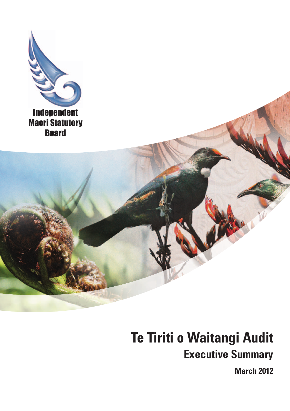

# **Te Tiriti o Waitangi Audit Executive Summary**

**March 2012**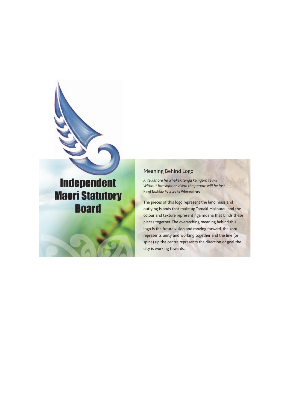# **Independent Maori Statutory Board**

## Meaning Behind Logo

*Ki te kahore he whakakitenga ka ngaro te iwi Without foresight or vision the people will be lost* Kingi Tawhiao Potatau te Wherowhero

The pieces of this logo represent the land mass and outlying islands that make up Tamaki Makaurau and the colour and texture represent nga moana that binds these pieces together. The overarching meaning behind this logo is the future vision and moving forward, the koru represents unity and working together and the line (or spine) up the centre represents the direction or goal the city is working towards.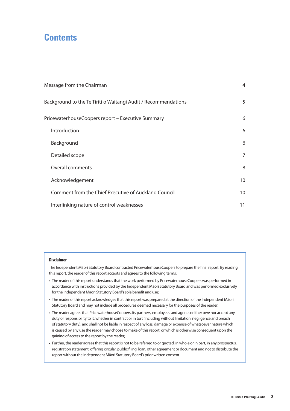# **Contents**

| Message from the Chairman                                      | 4  |
|----------------------------------------------------------------|----|
| Background to the Te Tiriti o Waitangi Audit / Recommendations | 5  |
| PricewaterhouseCoopers report - Executive Summary              | 6  |
| Introduction                                                   | 6  |
| Background                                                     | 6  |
| Detailed scope                                                 | 7  |
| <b>Overall comments</b>                                        | 8  |
| Acknowledgement                                                | 10 |
| Comment from the Chief Executive of Auckland Council           | 10 |
| Interlinking nature of control weaknesses                      | 11 |

#### **Disclaimer**

The Independent Māori Statutory Board contracted PricewaterhouseCoopers to prepare the final report. By reading this report, the reader of this report accepts and agrees to the following terms:

- The reader of this report understands that the work performed by PricewaterhouseCoopers was performed in accordance with instructions provided by the Independent Māori Statutory Board and was performed exclusively for the Independent Māori Statutory Board's sole benefit and use:
- The reader of this report acknowledges that this report was prepared at the direction of the Independent Māori Statutory Board and may not include all procedures deemed necessary for the purposes of the reader;
- The reader agrees that PricewaterhouseCoopers, its partners, employees and agents neither owe nor accept any duty or responsibility to it, whether in contract or in tort (including without limitation, negligence and breach of statutory duty), and shall not be liable in respect of any loss, damage or expense of whatsoever nature which is caused by any use the reader may choose to make of this report, or which is otherwise consequent upon the gaining of access to the report by the reader;
- Further, the reader agrees that this report is not to be referred to or quoted, in whole or in part, in any prospectus, registration statement, offering circular, public filing, loan, other agreement or document and not to distribute the report without the Independent Māori Statutory Board's prior written consent.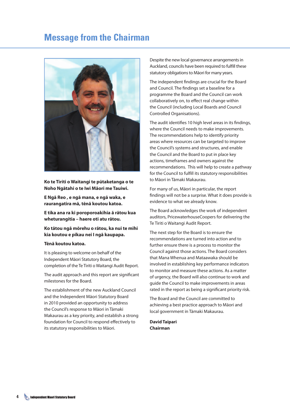# **Message from the Chairman**



**Ko te Tiriti o Waitangi te pūtaketanga o te Noho Ngātahi o te Iwi Māori me Tauiwi.**

**E Ngā Reo , e ngā mana, e ngā waka, e raurangatira mā, tēnā koutou katoa.**

**E tika ana ra ki poroporoakihia ā rātou kua wheturangitia – haere oti atu rātou.**

**Ko tātou ngā mōrehu o rātou, ka nui te mihi kia koutou e pīkau nei I ngā kaupapa.**

#### **Tēnā koutou katoa.**

It is pleasing to welcome on behalf of the Independent Māori Statutory Board, the completion of the Te Tiriti o Waitangi Audit Report.

The audit approach and this report are significant milestones for the Board.

The establishment of the new Auckland Council and the Independent Māori Statutory Board in 2010 provided an opportunity to address the Council's response to Māori in Tāmaki Makaurau as a key priority, and establish a strong foundation for Council to respond effectively to its statutory responsibilities to Māori.

Despite the new local governance arrangements in Auckland, councils have been required to fulfill these statutory obligations to Māori for many years.

The independent findings are crucial for the Board and Council. The findings set a baseline for a programme the Board and the Council can work collaboratively on, to effect real change within the Council (including Local Boards and Council Controlled Organisations).

The audit identifies 10 high level areas in its findings, where the Council needs to make improvements. The recommendations help to identify priority areas where resources can be targeted to improve the Council's systems and structures, and enable the Council and the Board to put in place key actions, timeframes and owners against the recommendations. This will help to create a pathway for the Council to fulfill its statutory responsibilities to Māori in Tāmaki Makaurau.

For many of us, Māori in particular, the report findings will not be a surprise. What it does provide is evidence to what we already know.

The Board acknowledges the work of independent auditors, PricewaterhouseCoopers for delivering the Te Tiriti o Waitangi Audit Report.

The next step for the Board is to ensure the recommendations are turned into action and to further ensure there is a process to monitor the Council against those actions. The Board considers that Mana Whenua and Mataawaka should be involved in establishing key performance indicators to monitor and measure these actions. As a matter of urgency, the Board will also continue to work and guide the Council to make improvements in areas rated in the report as being a significant priority risk.

The Board and the Council are committed to achieving a best practice approach to Māori and local government in Tāmaki Makaurau.

**David Taipari Chairman**

**4**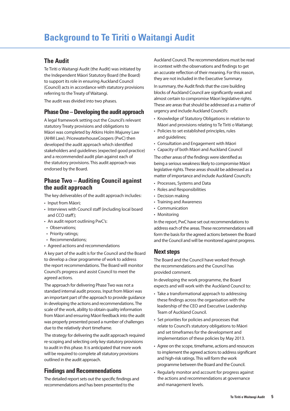#### **The Audit**

Te Tiriti o Waitangi Audit (the Audit) was initiated by the Independent Māori Statutory Board (the Board) to support its role in ensuring Auckland Council (Council) acts in accordance with statutory provisions referring to the Treaty of Waitangi.

The audit was divided into two phases.

#### **Phase One – Developing the audit approach**

A legal framework setting out the Council's relevant statutory Treaty provisions and obligations to Māori was completed by Atkins Holm Majurey Law (AHM Law). PricewaterhouseCoopers (PwC) then developed the audit approach which identified stakeholders and guidelines (expected good practice) and a recommended audit plan against each of the statutory provisions. This audit approach was endorsed by the Board.

#### **Phase Two – Auditing Council against the audit approach**

The key deliverables of the audit approach includes:

- Input from Māori;
- Interviews with Council staff (including local board and CCO staff);
- An audit report outlining PwC's:
- Observations;
- Priority ratings;
- Recommendations;
- Agreed actions and recommendations

A key part of the audit is for the Council and the Board to develop a clear programme of work to address the report recommendations. The Board will monitor Council's progress and assist Council to meet the agreed actions.

The approach for delivering Phase Two was not a standard internal audit process. Input from Māori was an important part of the approach to provide guidance in developing the actions and recommendations. The scale of the work, ability to obtain quality information from Māori and ensuring Māori feedback into the audit was properly presented posed a number of challenges due to the relatively short timeframe.

The strategy for delivering the audit approach required re-scoping and selecting only key statutory provisions to audit in this phase. It is anticipated that more work will be required to complete all statutory provisions outlined in the audit approach.

## **Findings and Recommendations**

The detailed report sets out the specific findings and recommendations and has been presented to the

Auckland Council. The recommendations must be read in context with the observations and findings to get an accurate reflection of their meaning. For this reason, they are not included in the Executive Summary.

In summary, the Audit finds that the core building blocks of Auckland Council are significantly weak and almost certain to compromise Māori legislative rights. These are areas that should be addressed as a matter of urgency and include Auckland Council's:

- Knowledge of Statutory Obligations in relation to Māori and provisions relating to Te Tiriti o Waitangi;
- Policies to set established principles, rules and quidelines:
- Consultation and Engagement with Māori
- Capacity of both Māori and Auckland Council

The other areas of the findings were identified as being a serious weakness likely to compromise Māori legislative rights. These areas should be addressed as a matter of importance and include Auckland Council's:

- Processes, Systems and Data
- Roles and Responsibilities
- Decision making
- Training and Awareness
- Communication
- Monitoring

In the report, PwC have set out recommendations to address each of the areas. These recommendations will form the basis for the agreed actions between the Board and the Council and will be monitored against progress.

#### **Next steps**

The Board and the Council have worked through the recommendations and the Council has provided comment.

In developing the work programme, the Board expects and will work with the Auckland Council to:

- Take a transformational approach to addressing these findings across the organisation with the leadership of the CEO and Executive Leadership Team of Auckland Council.
- Set priorities for policies and processes that relate to Council's statutory obligations to Māori and set timeframes for the development and implementation of these policies by May 2013.
- Agree on the scope, timeframe, actions and resources to implement the agreed actions to address significant and high-risk ratings. This will form the work programme between the Board and the Council.
- Regularly monitor and account for progress against the actions and recommendations at governance and management levels.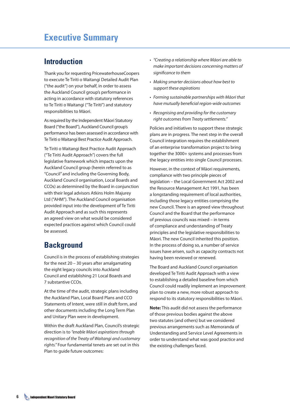## **Introduction**

Thank you for requesting PricewaterhouseCoopers to execute Te Tiriti o Waitangi Detailed Audit Plan ("the audit") on your behalf, in order to assess the Auckland Council group's performance in acting in accordance with statutory references to Te Tiriti o Waitangi ("Te Tiriti") and statutory responsibilities to Māori.

As required by the Independent Māori Statutory Board ("the Board"), Auckland Council group's performance has been assessed in accordance with Te Tiriti o Waitangi Best Practice Audit Approach.

Te Tiriti o Waitangi Best Practice Audit Approach ("Te Tiriti Audit Approach") covers the full legislative framework which impacts upon the Auckland Council group (herein referred to as "Council" and including the Governing Body, Auckland Council organisation, Local Boards and CCOs) as determined by the Board in conjunction with their legal advisors Atkins Holm Majurey Ltd ("AHM"). The Auckland Council organisation provided input into the development of Te Tiriti Audit Approach and as such this represents an agreed view on what would be considered expected practices against which Council could be assessed.

## **Background**

Council is in the process of establishing strategies for the next 20 – 30 years after amalgamating the eight legacy councils into Auckland Council and establishing 21 Local Boards and 7 substantive CCOs.

At the time of the audit, strategic plans including the Auckland Plan, Local Board Plans and CCO Statements of Intent, were still in draft form, and other documents including the Long Term Plan and Unitary Plan were in development.

Within the draft Auckland Plan, Council's strategic direction is to *"enable Māori aspirations through recognition of the Treaty of Waitangi and customary rights."* Four fundamental tenets are set out in this Plan to guide future outcomes:

- "Creating a relationship where Māori are able to *make important decisions concerning matters of signi cance to them*
- Making smarter decisions about how best to *support these aspirations*
- Forming sustainable partnerships with Māori that have mutually beneficial region-wide outcomes
- Recognising and providing for the customary *right outcomes from Treaty settlements."*

Policies and initiatives to support these strategic plans are in progress. The next step in the overall Council integration requires the establishment of an enterprise transformation project to bring together the 3000+ systems and processes from the legacy entities into single Council processes.

However, in the context of Māori requirements, compliance with two principle pieces of legislation – the Local Government Act 2002 and the Resource Management Act 1991, has been a longstanding requirement of local authorities, including those legacy entities comprising the new Council. There is an agreed view throughout Council and the Board that the performance of previous councils was mixed – in terms of compliance and understanding of Treaty principles and the legislative responsibilities to Māori. The new Council inherited this position. In the process of doing so, a number of service issues have arisen, such as capacity contracts not having been reviewed or renewed.

The Board and Auckland Council organisation developed Te Tiriti Audit Approach with a view to establishing a detailed baseline from which Council could readily implement an improvement plan to create a new, more robust approach to respond to its statutory responsibilities to Māori.

**Note:** This audit did not assess the performance of those previous bodies against the above two statutes (and others) but we considered previous arrangements such as Memoranda of Understanding and Service Level Agreements in order to understand what was good practice and the existing challenges faced.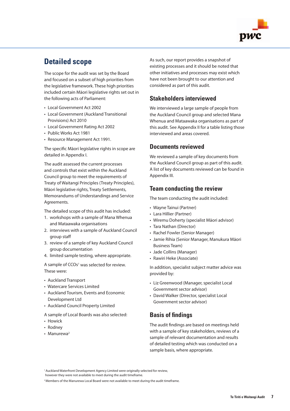

# **Detailed scope**

The scope for the audit was set by the Board and focused on a subset of high priorities from the legislative framework. These high priorities included certain Māori legislative rights set out in the following acts of Parliament:

- Local Government Act 2002
- Local Government (Auckland Transitional Provisions) Act 2010
- Local Government Rating Act 2002
- Public Works Act 1981
- Resource Management Act 1991.

The specific Māori legislative rights in scope are detailed in Appendix I.

The audit assessed the current processes and controls that exist within the Auckland Council group to meet the requirements of Treaty of Waitangi Principles (Treaty Principles), Māori legislative rights, Treaty Settlements, Memorandums of Understandings and Service Agreements.

The detailed scope of this audit has included:

- 1. workshops with a sample of Mana Whenua and Mataawaka organisations
- 2. interviews with a sample of Auckland Council group staff
- 3. review of a sample of key Auckland Council group documentation
- 4. limited sample testing, where appropriate.

A sample of CCOs<sup>1</sup> was selected for review. These were:

- Auckland Transport
- Watercare Services Limited
- Auckland Tourism, Events and Economic Development Ltd
- Auckland Council Property Limited
- A sample of Local Boards was also selected:
- Howick
- Rodney
- Manurewa<sup>2</sup>

As such, our report provides a snapshot of existing processes and it should be noted that other initiatives and processes may exist which have not been brought to our attention and considered as part of this audit.

## **Stakeholders interviewed**

We interviewed a large sample of people from the Auckland Council group and selected Mana Whenua and Mataawaka organisations as part of this audit. See Appendix II for a table listing those interviewed and areas covered.

#### **Documents reviewed**

We reviewed a sample of key documents from the Auckland Council group as part of this audit. A list of key documents reviewed can be found in Appendix III.

#### **Team conducting the review**

The team conducting the audit included:

- Wayne Tainui (Partner)
- Lara Hillier (Partner)
- Wiremu Doherty (specialist Māori advisor)
- Tara Nathan (Director)
- Rachel Fowler (Senior Manager)
- Jamie Rihia (Senior Manager, Manukura Māori Business Team)
- Jade Collins (Manager)
- Rawiri Heke (Associate)

In addition, specialist subject matter advice was provided by:

- Liz Greenwood (Manager, specialist Local Government sector advisor)
- David Walker (Director, specialist Local Government sector advisor)

## **Basis of findings**

The audit findings are based on meetings held with a sample of key stakeholders, reviews of a sample of relevant documentation and results of detailed testing which was conducted on a sample basis, where appropriate.

<sup>&</sup>lt;sup>1</sup> Auckland Waterfront Development Agency Limited were originally selected for review,

however they were not available to meet during the audit timeframe.

<sup>&</sup>lt;sup>2</sup> Members of the Manurewa Local Board were not available to meet during the audit timeframe.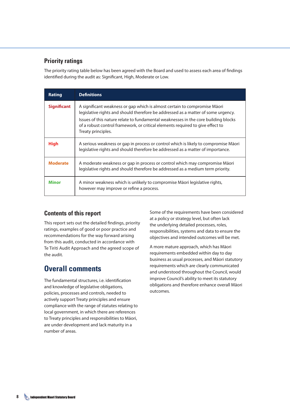## **Priority ratings**

The priority rating table below has been agreed with the Board and used to assess each area of findings identified during the audit as: Significant, High, Moderate or Low.

| <b>Rating</b>      | <b>Definitions</b>                                                                                                                                                                                                                                                                                                                                           |
|--------------------|--------------------------------------------------------------------------------------------------------------------------------------------------------------------------------------------------------------------------------------------------------------------------------------------------------------------------------------------------------------|
| <b>Significant</b> | A significant weakness or gap which is almost certain to compromise Māori<br>legislative rights and should therefore be addressed as a matter of some urgency.<br>Issues of this nature relate to fundamental weaknesses in the core building blocks<br>of a robust control framework, or critical elements required to give effect to<br>Treaty principles. |
| <b>High</b>        | A serious weakness or gap in process or control which is likely to compromise Mãori<br>legislative rights and should therefore be addressed as a matter of importance.                                                                                                                                                                                       |
| <b>Moderate</b>    | A moderate weakness or gap in process or control which may compromise Māori<br>legislative rights and should therefore be addressed as a medium term priority.                                                                                                                                                                                               |
| <b>Minor</b>       | A minor weakness which is unlikely to compromise Māori legislative rights,<br>however may improve or refine a process.                                                                                                                                                                                                                                       |

## **Contents of this report**

This report sets out the detailed findings, priority ratings, examples of good or poor practice and recommendations for the way forward arising from this audit, conducted in accordance with Te Tiriti Audit Approach and the agreed scope of the audit.

# **Overall comments**

The fundamental structures, i.e. identification and knowledge of legislative obligations, policies, processes and controls, needed to actively support Treaty principles and ensure compliance with the range of statutes relating to local government, in which there are references to Treaty principles and responsibilities to Māori, are under development and lack maturity in a number of areas.

Some of the requirements have been considered at a policy or strategy level, but often lack the underlying detailed processes, roles, responsibilities, systems and data to ensure the objectives and intended outcomes will be met.

A more mature approach, which has Māori requirements embedded within day to day business as usual processes, and Māori statutory requirements which are clearly communicated and understood throughout the Council, would improve Council's ability to meet its statutory obligations and therefore enhance overall Māori outcomes.

**8**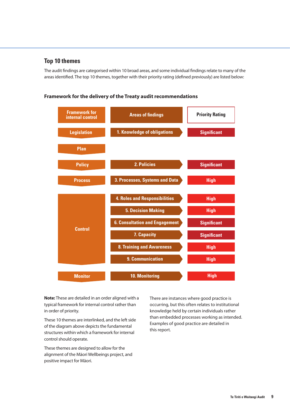#### **Top 10 themes**

The audit findings are categorised within 10 broad areas, and some individual findings relate to many of the areas identified. The top 10 themes, together with their priority rating (defined previously) are listed below:



#### **Framework for the delivery of the Treaty audit recommendations**

**Note:** These are detailed in an order aligned with a typical framework for internal control rather than in order of priority.

These 10 themes are interlinked, and the left side of the diagram above depicts the fundamental structures within which a framework for internal control should operate.

These themes are designed to allow for the alignment of the Māori Wellbeings project, and positive impact for Māori.

There are instances where good practice is occurring, but this often relates to institutional knowledge held by certain individuals rather than embedded processes working as intended. Examples of good practice are detailed in this report.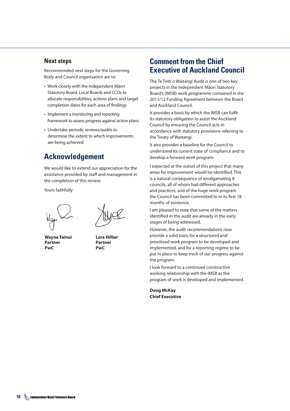#### **Next steps**

Recommended next steps for the Governing Body and Council organisation are to:

- Work closely with the Independent Māori Statutory Board, Local Boards and CCOs to allocate responsibilities, actions plans and target completion dates for each area of findings
- Implement a monitoring and reporting framework to assess progress against action plans
- Undertake periodic reviews/audits to determine the extent to which improvements are being achieved.

# **Acknowledgement**

We would like to extend our appreciation for the assistance provided by staff and management in the completion of this review.

Yours faithfully

**Wayne Tainui Partner PwC** 

**Lara Hillier Partner PwC**

## **Comment from the Chief Executive of Auckland Council**

The Te Tiriti o Waitangi Audit is one of two key projects in the Independent Māori Statutory Board's (IMSB) work programme contained in the 2011/12 Funding Agreement between the Board and Auckland Council.

It provides a basis by which the IMSB can fulfil its statutory obligation to assist the Auckland Council by ensuring the Council acts in accordance with statutory provisions referring to the Treaty of Waitangi.

It also provides a baseline for the Council to understand its current state of compliance and to develop a forward work program.

I expected at the outset of this project that many areas for improvement would be identified. This is a natural consequence of amalgamating 8 councils, all of whom had different approaches and practices, and of the huge work program the Council has been committed to in its first 18 months of existence.

I am pleased to note that some of the matters identified in the audit are already in the early stages of being addressed.

However, the audit recommendations now provide a solid basis for a structured and prioritised work program to be developed and implemented, and for a reporting regime to be put in place to keep track of our progress against the program.

I look forward to a continued constructive working relationship with the IMSB as the program of work is developed and implemented.

**Doug McKay Chief Executive**